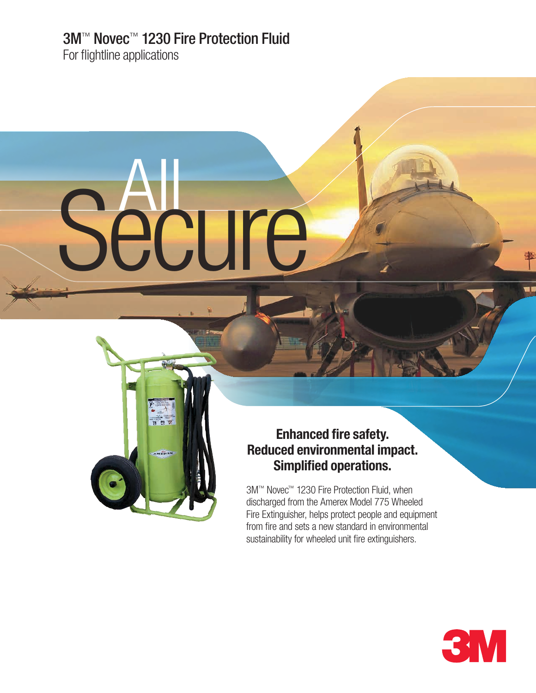# 3M™ Novec™ 1230 Fire Protection Fluid

Secure

OCE

For flightline applications

# **Enhanced fire safety. Reduced environmental impact. Simplified operations.**

3M™ Novec™ 1230 Fire Protection Fluid, when discharged from the Amerex Model 775 Wheeled Fire Extinguisher, helps protect people and equipment from fire and sets a new standard in environmental sustainability for wheeled unit fire extinguishers.



m I